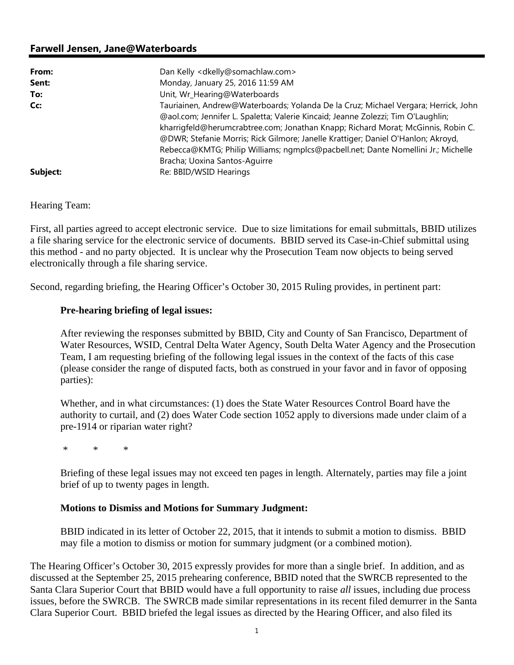# **Farwell Jensen, Jane@Waterboards**

| From:    | Dan Kelly <dkelly@somachlaw.com></dkelly@somachlaw.com>                                                                                                                                                                                                                                                                                                                                                                                                              |
|----------|----------------------------------------------------------------------------------------------------------------------------------------------------------------------------------------------------------------------------------------------------------------------------------------------------------------------------------------------------------------------------------------------------------------------------------------------------------------------|
| Sent:    | Monday, January 25, 2016 11:59 AM                                                                                                                                                                                                                                                                                                                                                                                                                                    |
| To:      | Unit, Wr_Hearing@Waterboards                                                                                                                                                                                                                                                                                                                                                                                                                                         |
| Cc:      | Tauriainen, Andrew@Waterboards; Yolanda De la Cruz; Michael Vergara; Herrick, John<br>@aol.com; Jennifer L. Spaletta; Valerie Kincaid; Jeanne Zolezzi; Tim O'Laughlin;<br>kharrigfeld@herumcrabtree.com; Jonathan Knapp; Richard Morat; McGinnis, Robin C.<br>@DWR; Stefanie Morris; Rick Gilmore; Janelle Krattiger; Daniel O'Hanlon; Akroyd,<br>Rebecca@KMTG; Philip Williams; ngmplcs@pacbell.net; Dante Nomellini Jr.; Michelle<br>Bracha; Uoxina Santos-Aquirre |
| Subject: | Re: BBID/WSID Hearings                                                                                                                                                                                                                                                                                                                                                                                                                                               |

### Hearing Team:

First, all parties agreed to accept electronic service. Due to size limitations for email submittals, BBID utilizes a file sharing service for the electronic service of documents. BBID served its Case-in-Chief submittal using this method - and no party objected. It is unclear why the Prosecution Team now objects to being served electronically through a file sharing service.

Second, regarding briefing, the Hearing Officer's October 30, 2015 Ruling provides, in pertinent part:

### **Pre-hearing briefing of legal issues:**

After reviewing the responses submitted by BBID, City and County of San Francisco, Department of Water Resources, WSID, Central Delta Water Agency, South Delta Water Agency and the Prosecution Team, I am requesting briefing of the following legal issues in the context of the facts of this case (please consider the range of disputed facts, both as construed in your favor and in favor of opposing parties):

Whether, and in what circumstances: (1) does the State Water Resources Control Board have the authority to curtail, and (2) does Water Code section 1052 apply to diversions made under claim of a pre-1914 or riparian water right?

\* \* \*

Briefing of these legal issues may not exceed ten pages in length. Alternately, parties may file a joint brief of up to twenty pages in length.

### **Motions to Dismiss and Motions for Summary Judgment:**

BBID indicated in its letter of October 22, 2015, that it intends to submit a motion to dismiss. BBID may file a motion to dismiss or motion for summary judgment (or a combined motion).

The Hearing Officer's October 30, 2015 expressly provides for more than a single brief. In addition, and as discussed at the September 25, 2015 prehearing conference, BBID noted that the SWRCB represented to the Santa Clara Superior Court that BBID would have a full opportunity to raise *all* issues, including due process issues, before the SWRCB. The SWRCB made similar representations in its recent filed demurrer in the Santa Clara Superior Court. BBID briefed the legal issues as directed by the Hearing Officer, and also filed its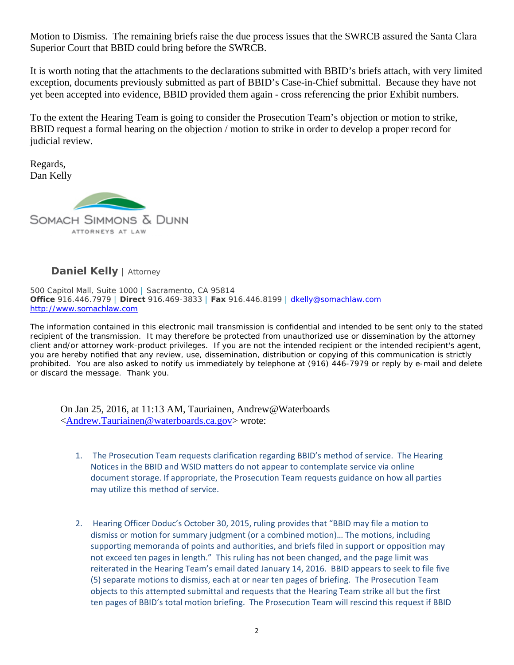Motion to Dismiss. The remaining briefs raise the due process issues that the SWRCB assured the Santa Clara Superior Court that BBID could bring before the SWRCB.

It is worth noting that the attachments to the declarations submitted with BBID's briefs attach, with very limited exception, documents previously submitted as part of BBID's Case-in-Chief submittal. Because they have not yet been accepted into evidence, BBID provided them again - cross referencing the prior Exhibit numbers.

To the extent the Hearing Team is going to consider the Prosecution Team's objection or motion to strike, BBID request a formal hearing on the objection / motion to strike in order to develop a proper record for judicial review.

Regards, Dan Kelly



# **Daniel Kelly** | *Attorney*

500 Capitol Mall, Suite 1000 | Sacramento, CA 95814 **Office** 916.446.7979 | **Direct** 916.469-3833 | **Fax** 916.446.8199 | dkelly@somachlaw.com http://www.somachlaw.com

The information contained in this electronic mail transmission is confidential and intended to be sent only to the stated recipient of the transmission. It may therefore be protected from unauthorized use or dissemination by the attorney client and/or attorney work-product privileges. If you are not the intended recipient or the intended recipient's agent, you are hereby notified that any review, use, dissemination, distribution or copying of this communication is strictly prohibited. You are also asked to notify us immediately by telephone at (916) 446-7979 or reply by e-mail and delete or discard the message. Thank you.

On Jan 25, 2016, at 11:13 AM, Tauriainen, Andrew@Waterboards <Andrew.Tauriainen@waterboards.ca.gov> wrote:

- 1. The Prosecution Team requests clarification regarding BBID's method of service. The Hearing Notices in the BBID and WSID matters do not appear to contemplate service via online document storage. If appropriate, the Prosecution Team requests guidance on how all parties may utilize this method of service.
- 2. Hearing Officer Doduc's October 30, 2015, ruling provides that "BBID may file a motion to dismiss or motion for summary judgment (or a combined motion)… The motions, including supporting memoranda of points and authorities, and briefs filed in support or opposition may not exceed ten pages in length." This ruling has not been changed, and the page limit was reiterated in the Hearing Team's email dated January 14, 2016. BBID appears to seek to file five (5) separate motions to dismiss, each at or near ten pages of briefing. The Prosecution Team objects to this attempted submittal and requests that the Hearing Team strike all but the first ten pages of BBID's total motion briefing. The Prosecution Team will rescind this request if BBID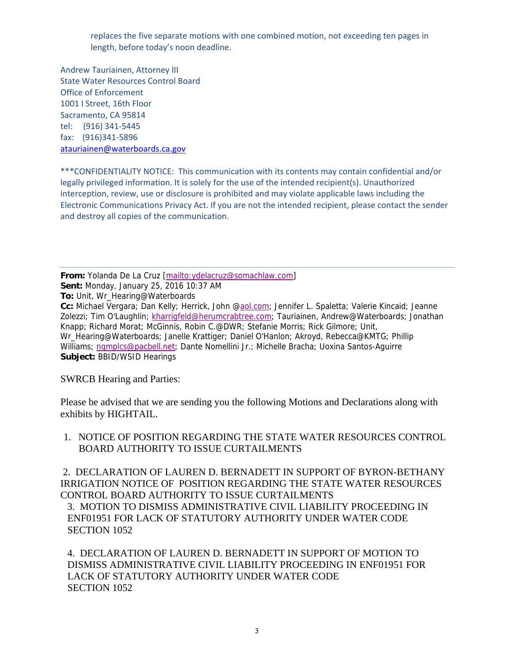replaces the five separate motions with one combined motion, not exceeding ten pages in length, before today's noon deadline.

Andrew Tauriainen, Attorney III State Water Resources Control Board Office of Enforcement 1001 I Street, 16th Floor Sacramento, CA 95814 tel: (916) 341‐5445 fax: (916)341‐5896 atauriainen@waterboards.ca.gov

\*\*\*CONFIDENTIALITY NOTICE: This communication with its contents may contain confidential and/or legally privileged information. It is solely for the use of the intended recipient(s). Unauthorized interception, review, use or disclosure is prohibited and may violate applicable laws including the Electronic Communications Privacy Act. If you are not the intended recipient, please contact the sender and destroy all copies of the communication.

**From:** Yolanda De La Cruz [mailto:ydelacruz@somachlaw.com] **Sent:** Monday, January 25, 2016 10:37 AM **To:** Unit, Wr\_Hearing@Waterboards **Cc:** Michael Vergara; Dan Kelly; Herrick, John @aol.com; Jennifer L. Spaletta; Valerie Kincaid; Jeanne Zolezzi; Tim O'Laughlin; kharrigfeld@herumcrabtree.com; Tauriainen, Andrew@Waterboards; Jonathan Knapp; Richard Morat; McGinnis, Robin C.@DWR; Stefanie Morris; Rick Gilmore; Unit, Wr\_Hearing@Waterboards; Janelle Krattiger; Daniel O'Hanlon; Akroyd, Rebecca@KMTG; Phillip Williams; ngmplcs@pacbell.net; Dante Nomellini Jr.; Michelle Bracha; Uoxina Santos-Aguirre **Subject:** BBID/WSID Hearings

SWRCB Hearing and Parties:

Please be advised that we are sending you the following Motions and Declarations along with exhibits by HIGHTAIL.

1. NOTICE OF POSITION REGARDING THE STATE WATER RESOURCES CONTROL BOARD AUTHORITY TO ISSUE CURTAILMENTS

 2. DECLARATION OF LAUREN D. BERNADETT IN SUPPORT OF BYRON-BETHANY IRRIGATION NOTICE OF POSITION REGARDING THE STATE WATER RESOURCES CONTROL BOARD AUTHORITY TO ISSUE CURTAILMENTS

3. MOTION TO DISMISS ADMINISTRATIVE CIVIL LIABILITY PROCEEDING IN ENF01951 FOR LACK OF STATUTORY AUTHORITY UNDER WATER CODE SECTION 1052

4. DECLARATION OF LAUREN D. BERNADETT IN SUPPORT OF MOTION TO DISMISS ADMINISTRATIVE CIVIL LIABILITY PROCEEDING IN ENF01951 FOR LACK OF STATUTORY AUTHORITY UNDER WATER CODE SECTION 1052